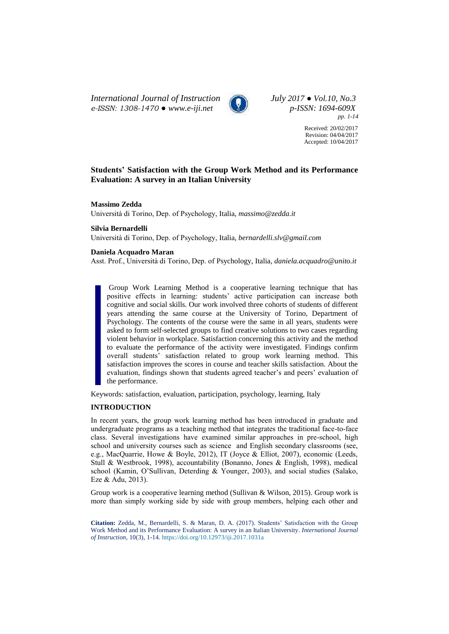*International Journal of Instruction July 2017 ● Vol.10, No.3 e-ISSN: 1308-1470 ● [www.e-iji.net](http://www.e-iji.net/) p-ISSN: 1694-609X*



*pp. 1-14*

Received: 20/02/2017 Revision: 04/04/2017 Accepted: 10/04/2017

## **Students' Satisfaction with the Group Work Method and its Performance Evaluation: A survey in an Italian University**

**Massimo Zedda**

Università di Torino, Dep. of Psychology, Italia, *[massimo@zedda.it](mailto:massimo@zedda.it)*

## **Silvia Bernardelli**

Università di Torino, Dep. of Psychology, Italia, *[bernardelli.slv@gmail.com](mailto:bernardelli.slv@gmail.com)*

## **Daniela Acquadro Maran**

Asst. Prof., Università di Torino, Dep. of Psychology, Italia, *[daniela.acquadro@unito.it](mailto:daniela.acquadro@unito.it)*

Group Work Learning Method is a cooperative learning technique that has positive effects in learning: students' active participation can increase both cognitive and social skills. Our work involved three cohorts of students of different years attending the same course at the University of Torino, Department of Psychology. The contents of the course were the same in all years, students were asked to form self-selected groups to find creative solutions to two cases regarding violent behavior in workplace. Satisfaction concerning this activity and the method to evaluate the performance of the activity were investigated. Findings confirm overall students' satisfaction related to group work learning method. This satisfaction improves the scores in course and teacher skills satisfaction. About the evaluation, findings shown that students agreed teacher's and peers' evaluation of the performance.

Keywords: satisfaction, evaluation, participation, psychology, learning, Italy

## **INTRODUCTION**

In recent years, the group work learning method has been introduced in graduate and undergraduate programs as a teaching method that integrates the traditional face-to-face class. Several investigations have examined similar approaches in pre-school, high school and university courses such as science and English secondary classrooms (see, e.g., MacQuarrie, Howe & Boyle, 2012), IT (Joyce & Elliot, 2007), economic (Leeds, Stull & Westbrook, 1998), accountability (Bonanno, Jones & English, 1998), medical school (Kamin, O'Sullivan, Deterding & Younger, 2003), and social studies (Salako, Eze & Adu, 2013).

Group work is a cooperative learning method (Sullivan & Wilson, 2015). Group work is more than simply working side by side with group members, helping each other and

**Citation:** Zedda, M., Bernardelli, S. & Maran, D. A. (2017). Students' Satisfaction with the Group Work Method and its Performance Evaluation: A survey in an Italian University. *International Journal of Instruction*, 10(3), 1-14. <https://doi.org/10.12973/iji.2017.1031a>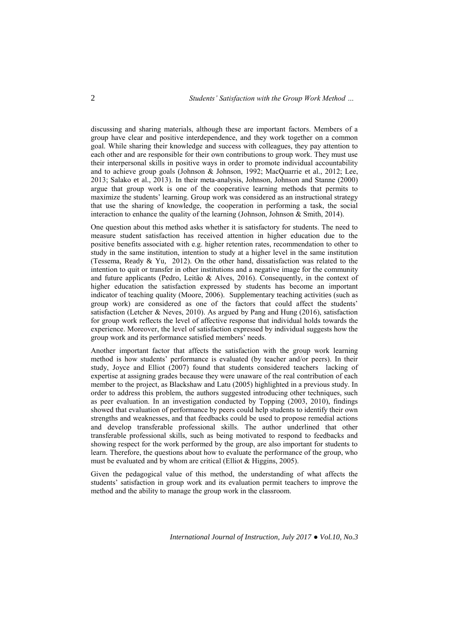discussing and sharing materials, although these are important factors. Members of a group have clear and positive interdependence, and they work together on a common goal. While sharing their knowledge and success with colleagues, they pay attention to each other and are responsible for their own contributions to group work. They must use their interpersonal skills in positive ways in order to promote individual accountability and to achieve group goals (Johnson & Johnson, 1992; MacQuarrie et al., 2012; Lee, 2013; Salako et al., 2013). In their meta-analysis, Johnson, Johnson and Stanne (2000) argue that group work is one of the cooperative learning methods that permits to maximize the students' learning. Group work was considered as an instructional strategy that use the sharing of knowledge, the cooperation in performing a task, the social interaction to enhance the quality of the learning (Johnson, Johnson & Smith, 2014).

One question about this method asks whether it is satisfactory for students. The need to measure student satisfaction has received attention in higher education due to the positive benefits associated with e.g. higher retention rates, recommendation to other to study in the same institution, intention to study at a higher level in the same institution (Tessema, Ready & Yu, 2012). On the other hand, dissatisfaction was related to the intention to quit or transfer in other institutions and a negative image for the community and future applicants (Pedro, Leitão & Alves, 2016). Consequently, in the context of higher education the satisfaction expressed by students has become an important indicator of teaching quality (Moore, 2006). Supplementary teaching activities (such as group work) are considered as one of the factors that could affect the students' satisfaction (Letcher & Neves, 2010). As argued by Pang and Hung (2016), satisfaction for group work reflects the level of affective response that individual holds towards the experience. Moreover, the level of satisfaction expressed by individual suggests how the group work and its performance satisfied members' needs.

Another important factor that affects the satisfaction with the group work learning method is how students' performance is evaluated (by teacher and/or peers). In their study, Joyce and Elliot (2007) found that students considered teachers lacking of expertise at assigning grades because they were unaware of the real contribution of each member to the project, as Blackshaw and Latu (2005) highlighted in a previous study. In order to address this problem, the authors suggested introducing other techniques, such as peer evaluation. In an investigation conducted by Topping (2003, 2010), findings showed that evaluation of performance by peers could help students to identify their own strengths and weaknesses, and that feedbacks could be used to propose remedial actions and develop transferable professional skills. The author underlined that other transferable professional skills, such as being motivated to respond to feedbacks and showing respect for the work performed by the group, are also important for students to learn. Therefore, the questions about how to evaluate the performance of the group, who must be evaluated and by whom are critical (Elliot & Higgins, 2005).

Given the pedagogical value of this method, the understanding of what affects the students' satisfaction in group work and its evaluation permit teachers to improve the method and the ability to manage the group work in the classroom.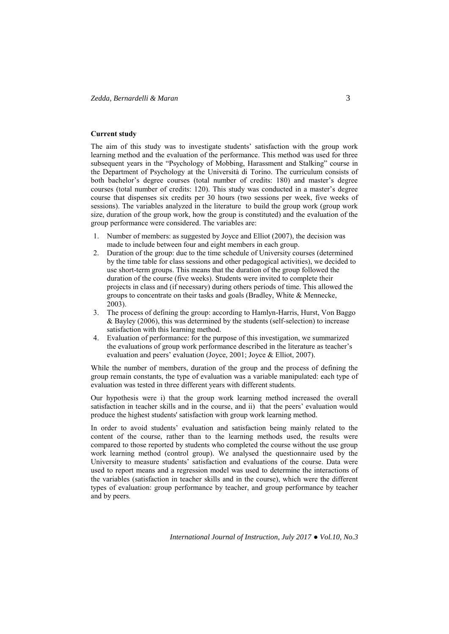### **Current study**

The aim of this study was to investigate students' satisfaction with the group work learning method and the evaluation of the performance. This method was used for three subsequent years in the "Psychology of Mobbing, Harassment and Stalking" course in the Department of Psychology at the Università di Torino. The curriculum consists of both bachelor's degree courses (total number of credits: 180) and master's degree courses (total number of credits: 120). This study was conducted in a master's degree course that dispenses six credits per 30 hours (two sessions per week, five weeks of sessions). The variables analyzed in the literature to build the group work (group work size, duration of the group work, how the group is constituted) and the evaluation of the group performance were considered. The variables are:

- 1. Number of members: as suggested by Joyce and Elliot (2007), the decision was made to include between four and eight members in each group.
- 2. Duration of the group: due to the time schedule of University courses (determined by the time table for class sessions and other pedagogical activities), we decided to use short-term groups. This means that the duration of the group followed the duration of the course (five weeks). Students were invited to complete their projects in class and (if necessary) during others periods of time. This allowed the groups to concentrate on their tasks and goals (Bradley, White & Mennecke, 2003).
- 3. The process of defining the group: according to Hamlyn-Harris, Hurst, Von Baggo & Bayley (2006), this was determined by the students (self-selection) to increase satisfaction with this learning method.
- 4. Evaluation of performance: for the purpose of this investigation, we summarized the evaluations of group work performance described in the literature as teacher's evaluation and peers' evaluation (Joyce, 2001; Joyce & Elliot, 2007).

While the number of members, duration of the group and the process of defining the group remain constants, the type of evaluation was a variable manipulated: each type of evaluation was tested in three different years with different students.

Our hypothesis were i) that the group work learning method increased the overall satisfaction in teacher skills and in the course, and ii) that the peers' evaluation would produce the highest students' satisfaction with group work learning method.

In order to avoid students' evaluation and satisfaction being mainly related to the content of the course, rather than to the learning methods used, the results were compared to those reported by students who completed the course without the use group work learning method (control group). We analysed the questionnaire used by the University to measure students' satisfaction and evaluations of the course. Data were used to report means and a regression model was used to determine the interactions of the variables (satisfaction in teacher skills and in the course), which were the different types of evaluation: group performance by teacher, and group performance by teacher and by peers.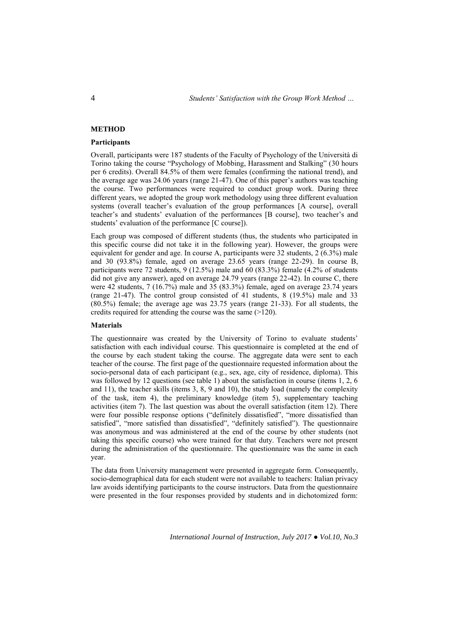## **METHOD**

## **Participants**

Overall, participants were 187 students of the Faculty of Psychology of the Università di Torino taking the course "Psychology of Mobbing, Harassment and Stalking" (30 hours per 6 credits). Overall 84.5% of them were females (confirming the national trend), and the average age was 24.06 years (range 21-47). One of this paper's authors was teaching the course. Two performances were required to conduct group work. During three different years, we adopted the group work methodology using three different evaluation systems (overall teacher's evaluation of the group performances [A course], overall teacher's and students' evaluation of the performances [B course], two teacher's and students' evaluation of the performance [C course]).

Each group was composed of different students (thus, the students who participated in this specific course did not take it in the following year). However, the groups were equivalent for gender and age. In course A, participants were 32 students, 2 (6.3%) male and 30 (93.8%) female, aged on average  $23.65$  years (range 22-29). In course B, participants were 72 students, 9 (12.5%) male and 60 (83.3%) female (4.2% of students did not give any answer), aged on average 24.79 years (range 22-42). In course C, there were 42 students, 7 (16.7%) male and 35 (83.3%) female, aged on average 23.74 years (range 21-47). The control group consisted of 41 students, 8 (19.5%) male and 33 (80.5%) female; the average age was 23.75 years (range 21-33). For all students, the credits required for attending the course was the same (>120).

## **Materials**

The questionnaire was created by the University of Torino to evaluate students' satisfaction with each individual course. This questionnaire is completed at the end of the course by each student taking the course. The aggregate data were sent to each teacher of the course. The first page of the questionnaire requested information about the socio-personal data of each participant (e.g., sex, age, city of residence, diploma). This was followed by 12 questions (see table 1) about the satisfaction in course (items 1, 2, 6 and 11), the teacher skills (items 3, 8, 9 and 10), the study load (namely the complexity of the task, item 4), the preliminary knowledge (item 5), supplementary teaching activities (item 7). The last question was about the overall satisfaction (item 12). There were four possible response options ("definitely dissatisfied", "more dissatisfied than satisfied", "more satisfied than dissatisfied", "definitely satisfied"). The questionnaire was anonymous and was administered at the end of the course by other students (not taking this specific course) who were trained for that duty. Teachers were not present during the administration of the questionnaire. The questionnaire was the same in each year.

The data from University management were presented in aggregate form. Consequently, socio-demographical data for each student were not available to teachers: Italian privacy law avoids identifying participants to the course instructors. Data from the questionnaire were presented in the four responses provided by students and in dichotomized form: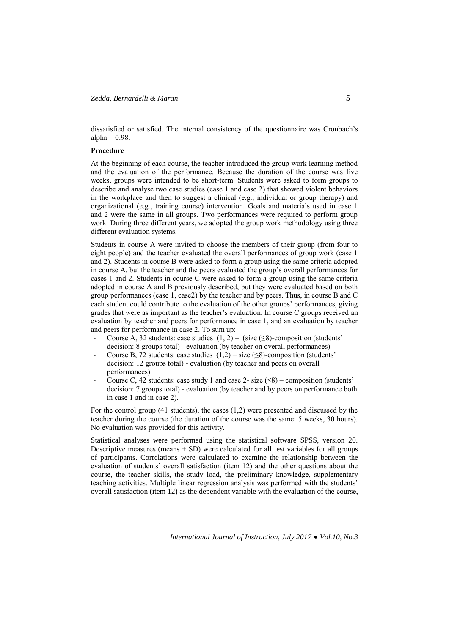dissatisfied or satisfied. The internal consistency of the questionnaire was Cronbach's alpha  $= 0.98$ .

### **Procedure**

At the beginning of each course, the teacher introduced the group work learning method and the evaluation of the performance. Because the duration of the course was five weeks, groups were intended to be short-term. Students were asked to form groups to describe and analyse two case studies (case 1 and case 2) that showed violent behaviors in the workplace and then to suggest a clinical (e.g., individual or group therapy) and organizational (e.g., training course) intervention. Goals and materials used in case 1 and 2 were the same in all groups. Two performances were required to perform group work. During three different years, we adopted the group work methodology using three different evaluation systems.

Students in course A were invited to choose the members of their group (from four to eight people) and the teacher evaluated the overall performances of group work (case 1 and 2). Students in course B were asked to form a group using the same criteria adopted in course A, but the teacher and the peers evaluated the group's overall performances for cases 1 and 2. Students in course C were asked to form a group using the same criteria adopted in course A and B previously described, but they were evaluated based on both group performances (case 1, case2) by the teacher and by peers. Thus, in course B and C each student could contribute to the evaluation of the other groups' performances, giving grades that were as important as the teacher's evaluation. In course C groups received an evaluation by teacher and peers for performance in case 1, and an evaluation by teacher and peers for performance in case 2. To sum up:

- Course A, 32 students: case studies  $(1, 2)$  (size  $(\leq 8)$ -composition (students' decision: 8 groups total) - evaluation (by teacher on overall performances)
- Course B, 72 students: case studies  $(1,2)$  size (≤8)-composition (students' decision: 12 groups total) - evaluation (by teacher and peers on overall performances)
- Course C, 42 students: case study 1 and case 2- size  $(\leq 8)$  composition (students' decision: 7 groups total) - evaluation (by teacher and by peers on performance both in case 1 and in case 2).

For the control group (41 students), the cases (1,2) were presented and discussed by the teacher during the course (the duration of the course was the same: 5 weeks, 30 hours). No evaluation was provided for this activity.

Statistical analyses were performed using the statistical software SPSS, version 20. Descriptive measures (means  $\pm$  SD) were calculated for all test variables for all groups of participants. Correlations were calculated to examine the relationship between the evaluation of students' overall satisfaction (item 12) and the other questions about the course, the teacher skills, the study load, the preliminary knowledge, supplementary teaching activities. Multiple linear regression analysis was performed with the students' overall satisfaction (item 12) as the dependent variable with the evaluation of the course,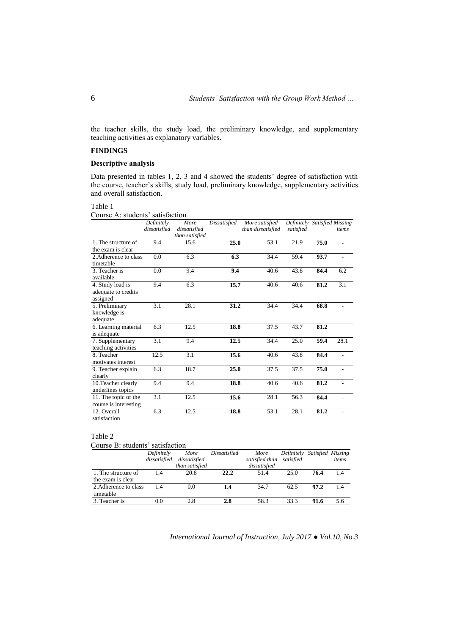the teacher skills, the study load, the preliminary knowledge, and supplementary teaching activities as explanatory variables.

# **FINDINGS**

## **Descriptive analysis**

Data presented in tables 1, 2, 3 and 4 showed the students' degree of satisfaction with the course, teacher's skills, study load, preliminary knowledge, supplementary activities and overall satisfaction.

## Table 1

## Course A: students' satisfaction

|                                                     | Definitely<br>dissatisfied | More<br>dissatisfied<br>than satisfied | Dissatisfied | More satisfied<br>than dissatisfied | Definitely Satisfied Missing<br>satisfied |      | items          |
|-----------------------------------------------------|----------------------------|----------------------------------------|--------------|-------------------------------------|-------------------------------------------|------|----------------|
| 1. The structure of<br>the exam is clear            | 9.4                        | 15.6                                   | 25.0         | 53.1                                | 21.9                                      | 75.0 |                |
| 2. Adherence to class<br>timetable                  | 0.0                        | 6.3                                    | 6.3          | 34.4                                | 59.4                                      | 93.7 |                |
| 3. Teacher is<br>available                          | 0.0                        | 9.4                                    | 9.4          | 40.6                                | 43.8                                      | 84.4 | 6.2            |
| 4. Study load is<br>adequate to credits<br>assigned | 9.4                        | 6.3                                    | 15.7         | 40.6                                | 40.6                                      | 81.2 | 3.1            |
| 5. Preliminary<br>knowledge is<br>adequate          | 3.1                        | 28.1                                   | 31.2         | 34.4                                | 34.4                                      | 68.8 |                |
| 6. Learning material<br>is adequate                 | 6.3                        | 12.5                                   | 18.8         | 37.5                                | 43.7                                      | 81.2 |                |
| 7. Supplementary<br>teaching activities             | 3.1                        | 9.4                                    | 12.5         | 34.4                                | 25.0                                      | 59.4 | 28.1           |
| 8. Teacher<br>motivates interest                    | 12.5                       | 3.1                                    | 15.6         | 40.6                                | 43.8                                      | 84.4 |                |
| 9. Teacher explain<br>clearly                       | 6.3                        | 18.7                                   | 25.0         | 37.5                                | 37.5                                      | 75.0 |                |
| 10. Teacher clearly<br>underlines topics            | 9.4                        | 9.4                                    | 18.8         | 40.6                                | 40.6                                      | 81.2 |                |
| 11. The topic of the<br>course is interesting       | 3.1                        | 12.5                                   | 15.6         | 28.1                                | 56.3                                      | 84.4 |                |
| 12. Overall<br>satisfaction                         | 6.3                        | 12.5                                   | 18.8         | 53.1                                | 28.1                                      | 81.2 | $\blacksquare$ |

## Table 2

## Course B: students' satisfaction

|                       | Definitely   | More           | Dissatisfied | More           | Definitely Satisfied Missing |      |       |
|-----------------------|--------------|----------------|--------------|----------------|------------------------------|------|-------|
|                       | dissatisfied | dissatisfied   |              | satisfied than | satisfied                    |      | items |
|                       |              | than satisfied |              | dissatisfied   |                              |      |       |
| 1. The structure of   | 1.4          | 20.8           | 22.2         | 51.4           | 25.0                         | 76.4 | 1.4   |
| the exam is clear     |              |                |              |                |                              |      |       |
| 2. Adherence to class | 14           | 0.0            | 1.4          | 34.7           | 62.5                         | 97.2 | 1.4   |
| timetable             |              |                |              |                |                              |      |       |
| 3. Teacher is         | 0.0          | 2.8            | 2.8          | 58.3           | 33.3                         | 91.6 | 5.6   |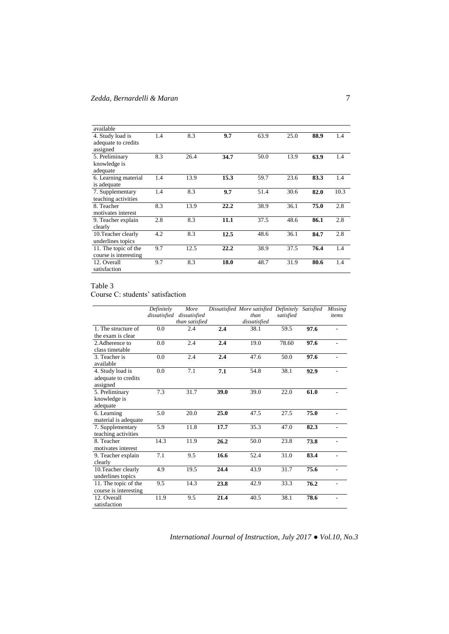| available              |     |      |      |      |      |      |      |
|------------------------|-----|------|------|------|------|------|------|
| 4. Study load is       | 1.4 | 8.3  | 9.7  | 63.9 | 25.0 | 88.9 | 1.4  |
| adequate to credits    |     |      |      |      |      |      |      |
| assigned               |     |      |      |      |      |      |      |
| 5. Preliminary         | 8.3 | 26.4 | 34.7 | 50.0 | 13.9 | 63.9 | 1.4  |
| knowledge is           |     |      |      |      |      |      |      |
| adequate               |     |      |      |      |      |      |      |
| 6. Learning material   | 1.4 | 13.9 | 15.3 | 59.7 | 23.6 | 83.3 | 1.4  |
| is adequate            |     |      |      |      |      |      |      |
| 7. Supplementary       | 1.4 | 8.3  | 9.7  | 51.4 | 30.6 | 82.0 | 10.3 |
| teaching activities    |     |      |      |      |      |      |      |
| 8. Teacher             | 8.3 | 13.9 | 22.2 | 38.9 | 36.1 | 75.0 | 2.8  |
| motivates interest     |     |      |      |      |      |      |      |
| 9. Teacher explain     | 2.8 | 8.3  | 11.1 | 37.5 | 48.6 | 86.1 | 2.8  |
| clearly                |     |      |      |      |      |      |      |
| 10. Teacher clearly    | 4.2 | 8.3  | 12.5 | 48.6 | 36.1 | 84.7 | 2.8  |
| underlines topics      |     |      |      |      |      |      |      |
| 11. The topic of the   | 9.7 | 12.5 | 22.2 | 38.9 | 37.5 | 76.4 | 1.4  |
| course is interesting. |     |      |      |      |      |      |      |
| 12. Overall            | 9.7 | 8.3  | 18.0 | 48.7 | 31.9 | 80.6 | 1.4  |
| satisfaction           |     |      |      |      |      |      |      |

## Table 3

Course C: students' satisfaction

|                       | $\overline{Definitely}$<br>dissatisfied | More<br>dissatisfied |      | Dissatisfied More satisfied Definitely Satisfied<br>than | satisfied |      | <b>Missing</b><br>items  |
|-----------------------|-----------------------------------------|----------------------|------|----------------------------------------------------------|-----------|------|--------------------------|
|                       |                                         | than satisfied       |      | dissatisfied                                             |           |      |                          |
| 1. The structure of   | 0.0                                     | 2.4                  | 2.4  | 38.1                                                     | 59.5      | 97.6 |                          |
| the exam is clear     |                                         |                      |      |                                                          |           |      |                          |
| 2. Adherence to       | 0.0                                     | 2.4                  | 2.4  | 19.0                                                     | 78.60     | 97.6 |                          |
| class timetable       |                                         |                      |      |                                                          |           |      |                          |
| 3. Teacher is         | 0.0                                     | 2.4                  | 2.4  | 47.6                                                     | 50.0      | 97.6 | L.                       |
| available             |                                         |                      |      |                                                          |           |      |                          |
| 4. Study load is      | 0.0                                     | 7.1                  | 7.1  | 54.8                                                     | 38.1      | 92.9 |                          |
| adequate to credits   |                                         |                      |      |                                                          |           |      |                          |
| assigned              |                                         |                      |      |                                                          |           |      |                          |
| 5. Preliminary        | 7.3                                     | 31.7                 | 39.0 | 39.0                                                     | 22.0      | 61.0 |                          |
| knowledge is          |                                         |                      |      |                                                          |           |      |                          |
| adequate              |                                         |                      |      |                                                          |           |      |                          |
| 6. Learning           | 5.0                                     | 20.0                 | 25.0 | 47.5                                                     | 27.5      | 75.0 |                          |
| material is adequate  |                                         |                      |      |                                                          |           |      |                          |
| 7. Supplementary      | 5.9                                     | 11.8                 | 17.7 | 35.3                                                     | 47.0      | 82.3 |                          |
| teaching activities   |                                         |                      |      |                                                          |           |      |                          |
| 8. Teacher            | 14.3                                    | 11.9                 | 26.2 | 50.0                                                     | 23.8      | 73.8 |                          |
| motivates interest    |                                         |                      |      |                                                          |           |      |                          |
| 9. Teacher explain    | $7.1\,$                                 | 9.5                  | 16.6 | 52.4                                                     | 31.0      | 83.4 | ٠                        |
| clearly               |                                         |                      |      |                                                          |           |      |                          |
| 10. Teacher clearly   | 4.9                                     | 19.5                 | 24.4 | 43.9                                                     | 31.7      | 75.6 | $\overline{\phantom{a}}$ |
| underlines topics     |                                         |                      |      |                                                          |           |      |                          |
| 11. The topic of the  | 9.5                                     | 14.3                 | 23.8 | 42.9                                                     | 33.3      | 76.2 | $\overline{a}$           |
| course is interesting |                                         |                      |      |                                                          |           |      |                          |
| 12. Overall           | 11.9                                    | 9.5                  | 21.4 | 40.5                                                     | 38.1      | 78.6 | ÷                        |
| satisfaction          |                                         |                      |      |                                                          |           |      |                          |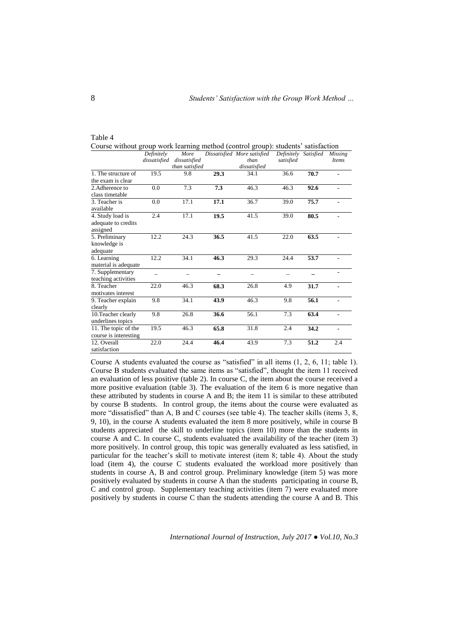| Course without group work learning method (control group): students' satisfaction |                            |                                        |      |                                                     |                                   |      |                         |
|-----------------------------------------------------------------------------------|----------------------------|----------------------------------------|------|-----------------------------------------------------|-----------------------------------|------|-------------------------|
|                                                                                   | Definitely<br>dissatisfied | More<br>dissatisfied<br>than satisfied |      | Dissatisfied More satisfied<br>than<br>dissatisfied | Definitely Satisfied<br>satisfied |      | <b>Missing</b><br>Items |
| 1. The structure of<br>the exam is clear                                          | 19.5                       | 9.8                                    | 29.3 | 34.1                                                | 36.6                              | 70.7 | $\blacksquare$          |
| 2. Adherence to<br>class timetable                                                | 0.0                        | 7.3                                    | 7.3  | 46.3                                                | 46.3                              | 92.6 |                         |
| 3. Teacher is<br>available                                                        | 0.0                        | 17.1                                   | 17.1 | 36.7                                                | 39.0                              | 75.7 | $\blacksquare$          |
| 4. Study load is<br>adequate to credits<br>assigned                               | 2.4                        | 17.1                                   | 19.5 | 41.5                                                | 39.0                              | 80.5 |                         |
| 5. Preliminary<br>knowledge is<br>adequate                                        | 12.2                       | 24.3                                   | 36.5 | 41.5                                                | 22.0                              | 63.5 |                         |
| 6. Learning<br>material is adequate                                               | 12.2                       | 34.1                                   | 46.3 | 29.3                                                | 24.4                              | 53.7 |                         |
| 7. Supplementary<br>teaching activities                                           |                            |                                        |      |                                                     |                                   |      |                         |
| 8. Teacher<br>motivates interest                                                  | 22.0                       | 46.3                                   | 68.3 | 26.8                                                | 4.9                               | 31.7 |                         |
| 9. Teacher explain<br>clearly                                                     | 9.8                        | 34.1                                   | 43.9 | 46.3                                                | 9.8                               | 56.1 |                         |
| 10. Teacher clearly<br>underlines topics                                          | 9.8                        | 26.8                                   | 36.6 | 56.1                                                | 7.3                               | 63.4 |                         |
| 11. The topic of the<br>course is interesting                                     | 19.5                       | 46.3                                   | 65.8 | 31.8                                                | 2.4                               | 34.2 | $\blacksquare$          |
| 12. Overall<br>satisfaction                                                       | 22.0                       | 24.4                                   | 46.4 | 43.9                                                | 7.3                               | 51.2 | 2.4                     |

| Table 4                                                                           |  |
|-----------------------------------------------------------------------------------|--|
| Course without group work learning method (control group): students' satisfaction |  |

Course A students evaluated the course as "satisfied" in all items (1, 2, 6, 11; table 1). Course B students evaluated the same items as "satisfied", thought the item 11 received an evaluation of less positive (table 2). In course C, the item about the course received a more positive evaluation (table 3). The evaluation of the item 6 is more negative than these attributed by students in course A and B; the item 11 is similar to these attributed by course B students. In control group, the items about the course were evaluated as more "dissatisfied" than A, B and C courses (see table 4). The teacher skills (items 3, 8, 9, 10), in the course A students evaluated the item 8 more positively, while in course B students appreciated the skill to underline topics (item 10) more than the students in course A and C. In course C, students evaluated the availability of the teacher (item 3) more positively. In control group, this topic was generally evaluated as less satisfied, in particular for the teacher's skill to motivate interest (item 8; table 4). About the study load (item 4), the course C students evaluated the workload more positively than students in course A, B and control group. Preliminary knowledge (item 5) was more positively evaluated by students in course A than the students participating in course B, C and control group. Supplementary teaching activities (item 7) were evaluated more positively by students in course C than the students attending the course A and B. This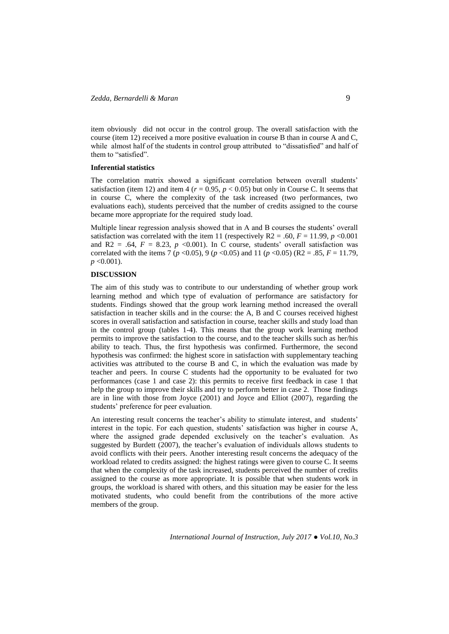item obviously did not occur in the control group. The overall satisfaction with the course (item 12) received a more positive evaluation in course B than in course A and C, while almost half of the students in control group attributed to "dissatisfied" and half of them to "satisfied".

### **Inferential statistics**

The correlation matrix showed a significant correlation between overall students' satisfaction (item 12) and item 4 ( $r = 0.95$ ,  $p < 0.05$ ) but only in Course C. It seems that in course C, where the complexity of the task increased (two performances, two evaluations each), students perceived that the number of credits assigned to the course became more appropriate for the required study load.

Multiple linear regression analysis showed that in A and B courses the students' overall satisfaction was correlated with the item 11 (respectively  $R2 = 0.60$ ,  $F = 11.99$ ,  $p < 0.001$ and R2 = .64,  $F = 8.23$ ,  $p \le 0.001$ ). In C course, students' overall satisfaction was correlated with the items 7 ( $p < 0.05$ ), 9 ( $p < 0.05$ ) and 11 ( $p < 0.05$ ) (R2 = .85,  $F = 11.79$ , *p* <0.001).

### **DISCUSSION**

The aim of this study was to contribute to our understanding of whether group work learning method and which type of evaluation of performance are satisfactory for students. Findings showed that the group work learning method increased the overall satisfaction in teacher skills and in the course: the A, B and C courses received highest scores in overall satisfaction and satisfaction in course, teacher skills and study load than in the control group (tables 1-4). This means that the group work learning method permits to improve the satisfaction to the course, and to the teacher skills such as her/his ability to teach. Thus, the first hypothesis was confirmed. Furthermore, the second hypothesis was confirmed: the highest score in satisfaction with supplementary teaching activities was attributed to the course B and C, in which the evaluation was made by teacher and peers. In course C students had the opportunity to be evaluated for two performances (case 1 and case 2): this permits to receive first feedback in case 1 that help the group to improve their skills and try to perform better in case 2. Those findings are in line with those from Joyce (2001) and Joyce and Elliot (2007), regarding the students' preference for peer evaluation.

An interesting result concerns the teacher's ability to stimulate interest, and students' interest in the topic. For each question, students' satisfaction was higher in course A, where the assigned grade depended exclusively on the teacher's evaluation. As suggested by Burdett (2007), the teacher's evaluation of individuals allows students to avoid conflicts with their peers. Another interesting result concerns the adequacy of the workload related to credits assigned: the highest ratings were given to course C. It seems that when the complexity of the task increased, students perceived the number of credits assigned to the course as more appropriate. It is possible that when students work in groups, the workload is shared with others, and this situation may be easier for the less motivated students, who could benefit from the contributions of the more active members of the group.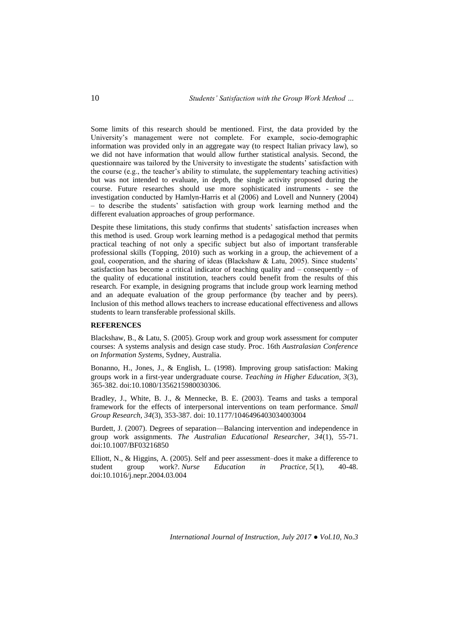Some limits of this research should be mentioned. First, the data provided by the University's management were not complete. For example, socio-demographic information was provided only in an aggregate way (to respect Italian privacy law), so we did not have information that would allow further statistical analysis. Second, the questionnaire was tailored by the University to investigate the students' satisfaction with the course (e.g., the teacher's ability to stimulate, the supplementary teaching activities) but was not intended to evaluate, in depth, the single activity proposed during the course. Future researches should use more sophisticated instruments - see the investigation conducted by Hamlyn-Harris et al (2006) and Lovell and Nunnery (2004) – to describe the students' satisfaction with group work learning method and the different evaluation approaches of group performance.

Despite these limitations, this study confirms that students' satisfaction increases when this method is used. Group work learning method is a pedagogical method that permits practical teaching of not only a specific subject but also of important transferable professional skills (Topping, 2010) such as working in a group, the achievement of a goal, cooperation, and the sharing of ideas (Blackshaw & Latu, 2005). Since students' satisfaction has become a critical indicator of teaching quality and – consequently – of the quality of educational institution, teachers could benefit from the results of this research. For example, in designing programs that include group work learning method and an adequate evaluation of the group performance (by teacher and by peers). Inclusion of this method allows teachers to increase educational effectiveness and allows students to learn transferable professional skills.

## **REFERENCES**

Blackshaw, B., & Latu, S. (2005). Group work and group work assessment for computer courses: A systems analysis and design case study. Proc. 16th *Australasian Conference on Information Systems*, Sydney, Australia.

Bonanno, H., Jones, J., & English, L. (1998). Improving group satisfaction: Making groups work in a first‐year undergraduate course. *Teaching in Higher Education, 3*(3), 365-382. doi:10.1080/1356215980030306.

Bradley, J., White, B. J., & Mennecke, B. E. (2003). Teams and tasks a temporal framework for the effects of interpersonal interventions on team performance. *Small Group Research, 34*(3), 353-387. doi: 10.1177/1046496403034003004

Burdett, J. (2007). Degrees of separation—Balancing intervention and independence in group work assignments. *The Australian Educational Researcher, 34*(1), 55-71. doi:10.1007/BF03216850

Elliott, N., & Higgins, A. (2005). Self and peer assessment–does it make a difference to student group work?. *Nurse Education in Practice, 5*(1), 40-48. doi:10.1016/j.nepr.2004.03.004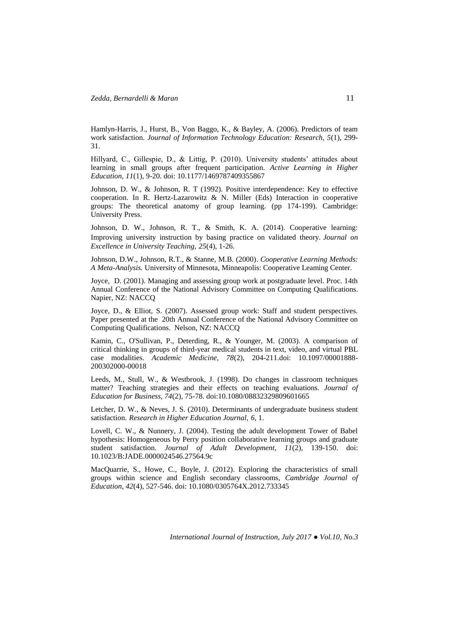Hamlyn-Harris, J., Hurst, B., Von Baggo, K., & Bayley, A. (2006). Predictors of team work satisfaction. *Journal of Information Technology Education: Research, 5*(1), 299- 31.

Hillyard, C., Gillespie, D., & Littig, P. (2010). University students' attitudes about learning in small groups after frequent participation. *Active Learning in Higher Education, 11*(1), 9-20. doi: 10.1177/1469787409355867

Johnson, D. W., & Johnson, R. T (1992). Positive interdependence: Key to effective cooperation. In R. Hertz-Lazarowitz & N. Miller (Eds) Interaction in cooperative groups: The theoretical anatomy of group learning. (pp 174-199). Cambridge: University Press.

Johnson, D. W., Johnson, R. T., & Smith, K. A. (2014). Cooperative learning: Improving university instruction by basing practice on validated theory. *Journal on Excellence in University Teaching, 25*(4), 1-26.

Johnson, D.W., Johnson, R.T., & Stanne, M.B. (2000). *Cooperative Learning Methods: A Meta-Analysis.* University of Minnesota, Minneapolis: Cooperative Leaming Center.

Joyce, D. (2001). Managing and assessing group work at postgraduate level. Proc. 14th Annual Conference of the National Advisory Committee on Computing Qualifications. Napier, NZ: NACCQ

Joyce, D., & Elliot, S. (2007). Assessed group work: Staff and student perspectives. Paper presented at the 20th Annual Conference of the National Advisory Committee on Computing Qualifications. Nelson, NZ: NACCQ

Kamin, C., O'Sullivan, P., Deterding, R., & Younger, M. (2003). A comparison of critical thinking in groups of third-year medical students in text, video, and virtual PBL case modalities. *Academic Medicine, 78*(2), 204-211.doi: 10.1097/00001888- 200302000-00018

Leeds, M., Stull, W., & Westbrook, J. (1998). Do changes in classroom techniques matter? Teaching strategies and their effects on teaching evaluations. *Journal of Education for Business, 74*(2), 75-78. doi:10.1080/08832329809601665

Letcher, D. W., & Neves, J. S. (2010). Determinants of undergraduate business student satisfaction. *Research in Higher Education Journal, 6,* 1.

Lovell, C. W., & Nunnery, J. (2004). Testing the adult development Tower of Babel hypothesis: Homogeneous by Perry position collaborative learning groups and graduate student satisfaction. *Journal of Adult Development, 11*(2), 139-150. doi: 10.1023/B:JADE.0000024546.27564.9c

MacQuarrie, S., Howe, C., Boyle, J. (2012). Exploring the characteristics of small groups within science and English secondary classrooms, *Cambridge Journal of Education, 42*(4), 527-546. doi: 10.1080/0305764X.2012.733345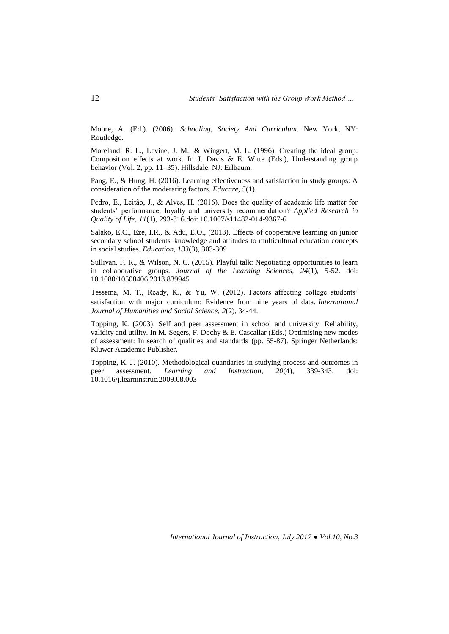Moore, A. (Ed.). (2006). *Schooling, Society And Curriculum*. New York, NY: Routledge.

Moreland, R. L., Levine, J. M., & Wingert, M. L. (1996). Creating the ideal group: Composition effects at work. In J. Davis & E. Witte (Eds.), Understanding group behavior (Vol. 2, pp. 11–35). Hillsdale, NJ: Erlbaum.

Pang, E., & Hung, H. (2016). Learning effectiveness and satisfaction in study groups: A consideration of the moderating factors. *Educare, 5*(1).

Pedro, E., Leitão, J., & Alves, H. (2016). Does the quality of academic life matter for students' performance, loyalty and university recommendation? *Applied Research in Quality of Life, 11*(1), 293-316.doi: 10.1007/s11482-014-9367-6

Salako, E.C., Eze, I.R., & Adu, E.O., (2013), Effects of cooperative learning on junior secondary school students' knowledge and attitudes to multicultural education concepts in social studies. *Education, 133*(3), 303-309

Sullivan, F. R., & Wilson, N. C. (2015). Playful talk: Negotiating opportunities to learn in collaborative groups. *Journal of the Learning Sciences, 24*(1), 5-52. doi: [10.1080/10508406.2013.839945](http://dx.doi.org/10.1080/10508406.2013.839945)

Tessema, M. T., Ready, K., & Yu, W. (2012). Factors affecting college students' satisfaction with major curriculum: Evidence from nine years of data. *International Journal of Humanities and Social Science, 2*(2), 34-44.

Topping, K. (2003). Self and peer assessment in school and university: Reliability, validity and utility. In M. Segers, F. Dochy & E. Cascallar (Eds.) Optimising new modes of assessment: In search of qualities and standards (pp. 55-87). Springer Netherlands: Kluwer Academic Publisher.

Topping, K. J. (2010). Methodological quandaries in studying process and outcomes in peer assessment. *Learning and Instruction, 20*(4), 339-343. doi: 10.1016/j.learninstruc.2009.08.003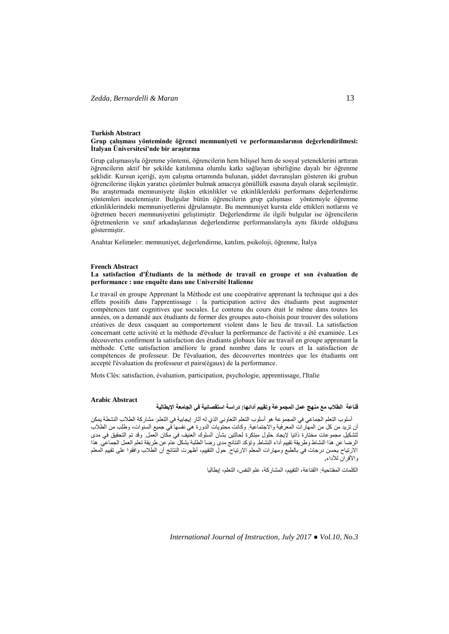#### **Turkish Abstract Grup çalışması yönteminde öğrenci memnuniyeti ve performanslarının değerlendirilmesi: İtalyan Üniversitesi'nde bir araştırma**

Grup çalışmasıyla öğrenme yöntemi, öğrencilerin hem bilişsel hem de sosyal yeteneklerini arttıran öğrencilerin aktif bir şekilde katılımına olumlu katkı sağlayan işbirliğine dayalı bir öğrenme şeklidir. Kursun içeriği, aynı çalışma ortamında bulunan, şiddet davranışları gösteren iki grubun öğrencilerine ilişkin yaratıcı çözümler bulmak amacıya gönüllülk esasına dayalı olarak seçilmiştir. Bu araştırmada memnuniyete ilişkin etkinlikler ve etkinliklerdeki performans değerlendirme yöntemleri incelenmiştir. Bulgular bütün öğrencilerin grup çalışması yöntemiyle öğrenme etkinliklerindeki memnuniyetlerini dğrulamıştır. Bu memnuniyet kursta elde ettikleri notlarını ve öğretmen beceri memnuniyetini geliştimiştir. Değerlendirme ile ilgili bulgular ise öğrencilerin öğretmenlerin ve sınıf arkadaşlarının değerlendirme performanslarıyla aynı fikirde olduğunu göstermiştir.

Anahtar Kelimeler: memnuniyet, değerlendirme, katılım, psikoloji, öğrenme, İtalya

### **French Abstract**

### **La satisfaction d'Étudiants de la méthode de travail en groupe et son évaluation de performance : une enquête dans une Université Italienne**

Le travail en groupe Apprenant la Méthode est une coopérative apprenant la technique qui a des effets positifs dans l'apprentissage : la participation active des étudiants peut augmenter compétences tant cognitives que sociales. Le contenu du cours était le même dans toutes les années, on a demandé aux étudiants de former des groupes auto-choisis pour trouver des solutions créatives de deux casquant au comportement violent dans le lieu de travail. La satisfaction concernant cette activité et la méthode d'évaluer la performance de l'activité a été examinée. Les découvertes confirment la satisfaction des étudiants globaux liée au travail en groupe apprenant la méthode. Cette satisfaction améliore le grand nombre dans le cours et la satisfaction de compétences de professeur. De l'évaluation, des découvertes montrées que les étudiants ont accepté l'évaluation du professeur et pairs(égaux) de la performance.

Mots Clés: satisfaction, évaluation, participation, psychologie, apprentissage, l'Italie

### **Arabic Abstract**

## **قناعة الطالب مع منهج عمل المجموعة وتقييم أدائها: دراسة استقصائية في الجامعة اإليطالية**

أسلوب التعلم الجماعي في المجموعة هو أسلوب التعلم التعاوني الذي له آثار إيجابية في التعلم: مشاركة الطالب النشطة يمكن أن تزيد من كل من المهارات المعرفية والاجتماعية. وكانت محتويات الدورة هي نفسها في جميع السنوات، وطلب من الطلاب<br>انشكيل مجموعات مختارة ذاتيا لإيجاد حلول مبتكرة لحالتين بشأن السلوك العنيف في مكان العمل وقد تم التحقيق في مدى لتشكيل مجموعات مختارة ذاتيا إليجاد حلول مبتكرة لحالتين بشأن السلوك العنيف في مكان العمل. وقد تم التحقيق في مدى الرضا عن هذا النشاط وطريقة تقييم أداء النشاط. وتؤكد النتائج مدى رضا الطلبة بشكل عام عن طريقة تعلم العمل الجماعي. هذا االرتياح يحسن درجات في بالطبع ومهارات المعلم االرتياح. حول التقييم، أظهرت النتائج أن الطالب وافقوا على تقييم المعلم واألقران لألداء**.**

الكلمات المفتاحية: االقناعة، التقييم، المشاركة، علم النفس، التعلم، إيطاليا